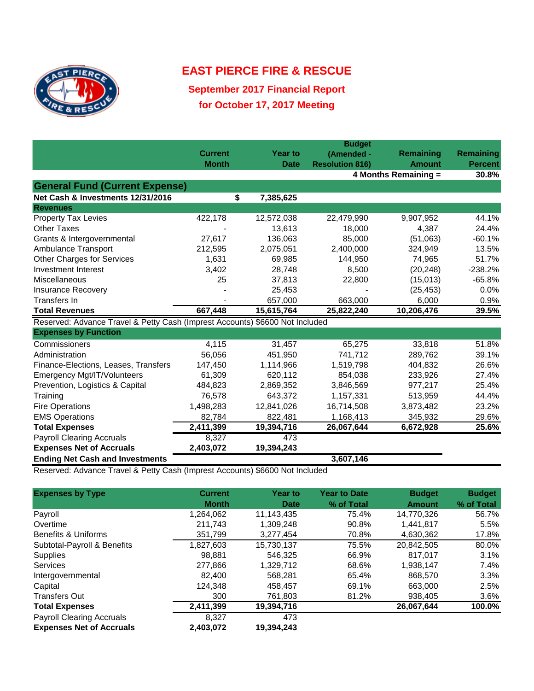

## **EAST PIERCE FIRE & RESCUE**

**September 2017 Financial Report for October 17, 2017 Meeting**

|                                                                              | <b>Budget</b>  |                |                        |               |                |  |  |
|------------------------------------------------------------------------------|----------------|----------------|------------------------|---------------|----------------|--|--|
|                                                                              | <b>Current</b> | <b>Year to</b> | (Amended -             | Remaining     | Remaining      |  |  |
|                                                                              | <b>Month</b>   | <b>Date</b>    | <b>Resolution 816)</b> | <b>Amount</b> | <b>Percent</b> |  |  |
|                                                                              |                |                | 4 Months Remaining =   |               | 30.8%          |  |  |
| <b>General Fund (Current Expense)</b>                                        |                |                |                        |               |                |  |  |
| Net Cash & Investments 12/31/2016                                            | \$             | 7,385,625      |                        |               |                |  |  |
| <b>Revenues</b>                                                              |                |                |                        |               |                |  |  |
| <b>Property Tax Levies</b>                                                   | 422,178        | 12,572,038     | 22,479,990             | 9,907,952     | 44.1%          |  |  |
| <b>Other Taxes</b>                                                           |                | 13,613         | 18,000                 | 4,387         | 24.4%          |  |  |
| Grants & Intergovernmental                                                   | 27,617         | 136,063        | 85,000                 | (51,063)      | $-60.1%$       |  |  |
| Ambulance Transport                                                          | 212,595        | 2,075,051      | 2,400,000              | 324,949       | 13.5%          |  |  |
| <b>Other Charges for Services</b>                                            | 1,631          | 69,985         | 144,950                | 74,965        | 51.7%          |  |  |
| Investment Interest                                                          | 3,402          | 28,748         | 8,500                  | (20, 248)     | $-238.2%$      |  |  |
| Miscellaneous                                                                | 25             | 37,813         | 22,800                 | (15,013)      | $-65.8%$       |  |  |
| <b>Insurance Recovery</b>                                                    |                | 25,453         |                        | (25, 453)     | 0.0%           |  |  |
| Transfers In                                                                 |                | 657,000        | 663,000                | 6,000         | 0.9%           |  |  |
| <b>Total Revenues</b>                                                        | 667,448        | 15,615,764     | 25,822,240             | 10,206,476    | 39.5%          |  |  |
| Reserved: Advance Travel & Petty Cash (Imprest Accounts) \$6600 Not Included |                |                |                        |               |                |  |  |
| <b>Expenses by Function</b>                                                  |                |                |                        |               |                |  |  |
| Commissioners                                                                | 4,115          | 31,457         | 65,275                 | 33,818        | 51.8%          |  |  |
| Administration                                                               | 56,056         | 451,950        | 741,712                | 289,762       | 39.1%          |  |  |
| Finance-Elections, Leases, Transfers                                         | 147,450        | 1,114,966      | 1,519,798              | 404,832       | 26.6%          |  |  |
| Emergency Mgt/IT/Volunteers                                                  | 61,309         | 620,112        | 854,038                | 233,926       | 27.4%          |  |  |
| Prevention, Logistics & Capital                                              | 484,823        | 2,869,352      | 3,846,569              | 977,217       | 25.4%          |  |  |
| Training                                                                     | 76,578         | 643,372        | 1,157,331              | 513,959       | 44.4%          |  |  |
| <b>Fire Operations</b>                                                       | 1,498,283      | 12,841,026     | 16,714,508             | 3,873,482     | 23.2%          |  |  |
| <b>EMS Operations</b>                                                        | 82,784         | 822,481        | 1,168,413              | 345,932       | 29.6%          |  |  |
| <b>Total Expenses</b>                                                        | 2,411,399      | 19,394,716     | 26,067,644             | 6,672,928     | 25.6%          |  |  |
| <b>Payroll Clearing Accruals</b>                                             | 8,327          | 473            |                        |               |                |  |  |
| <b>Expenses Net of Accruals</b>                                              | 2,403,072      | 19,394,243     |                        |               |                |  |  |
| <b>Ending Net Cash and Investments</b>                                       |                |                | 3,607,146              |               |                |  |  |

Reserved: Advance Travel & Petty Cash (Imprest Accounts) \$6600 Not Included

| <b>Expenses by Type</b>          | <b>Current</b> | <b>Year to</b> | <b>Year to Date</b> | <b>Budget</b> | <b>Budget</b> |
|----------------------------------|----------------|----------------|---------------------|---------------|---------------|
|                                  | <b>Month</b>   | <b>Date</b>    | % of Total          | <b>Amount</b> | % of Total    |
| Payroll                          | 1,264,062      | 11,143,435     | 75.4%               | 14,770,326    | 56.7%         |
| Overtime                         | 211,743        | 1,309,248      | 90.8%               | 1,441,817     | 5.5%          |
| <b>Benefits &amp; Uniforms</b>   | 351,799        | 3.277.454      | 70.8%               | 4.630.362     | 17.8%         |
| Subtotal-Payroll & Benefits      | 1,827,603      | 15,730,137     | 75.5%               | 20.842.505    | 80.0%         |
| <b>Supplies</b>                  | 98.881         | 546.325        | 66.9%               | 817.017       | $3.1\%$       |
| <b>Services</b>                  | 277.866        | 1.329.712      | 68.6%               | 1,938,147     | 7.4%          |
| Intergovernmental                | 82.400         | 568.281        | 65.4%               | 868,570       | $3.3\%$       |
| Capital                          | 124,348        | 458,457        | 69.1%               | 663,000       | 2.5%          |
| <b>Transfers Out</b>             | 300            | 761,803        | 81.2%               | 938,405       | 3.6%          |
| <b>Total Expenses</b>            | 2,411,399      | 19,394,716     |                     | 26,067,644    | 100.0%        |
| <b>Payroll Clearing Accruals</b> | 8.327          | 473            |                     |               |               |
| <b>Expenses Net of Accruals</b>  | 2,403,072      | 19,394,243     |                     |               |               |